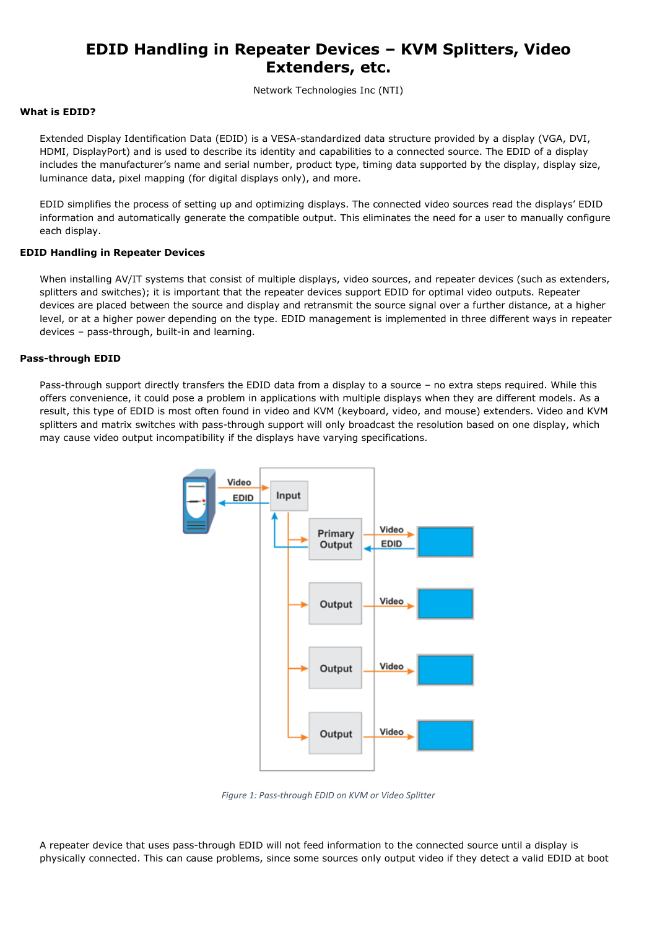# **EDID Handling in Repeater Devices – KVM Splitters, Video Extenders, etc.**

Network Technologies Inc (NTI)

## **What is EDID?**

Extended Display Identification Data (EDID) is a VESA-standardized data structure provided by a display (VGA, DVI, HDMI, DisplayPort) and is used to describe its identity and capabilities to a connected source. The EDID of a display includes the manufacturer's name and serial number, product type, timing data supported by the display, display size, luminance data, pixel mapping (for digital displays only), and more.

EDID simplifies the process of setting up and optimizing displays. The connected video sources read the displays' EDID information and automatically generate the compatible output. This eliminates the need for a user to manually configure each display.

## **EDID Handling in Repeater Devices**

When installing AV/IT systems that consist of multiple displays, video sources, and repeater devices (such as extenders, splitters and switches); it is important that the repeater devices support EDID for optimal video outputs. Repeater devices are placed between the source and display and retransmit the source signal over a further distance, at a higher level, or at a higher power depending on the type. EDID management is implemented in three different ways in repeater devices – pass-through, built-in and learning.

## **Pass-through EDID**

Pass-through support directly transfers the EDID data from a display to a source – no extra steps required. While this offers convenience, it could pose a problem in applications with multiple displays when they are different models. As a result, this type of EDID is most often found in video and KVM (keyboard, video, and mouse) extenders. Video and KVM splitters and matrix switches with pass-through support will only broadcast the resolution based on one display, which may cause video output incompatibility if the displays have varying specifications.



*Figure 1: Pass-through EDID on KVM or Video Splitter*

A repeater device that uses pass-through EDID will not feed information to the connected source until a display is physically connected. This can cause problems, since some sources only output video if they detect a valid EDID at boot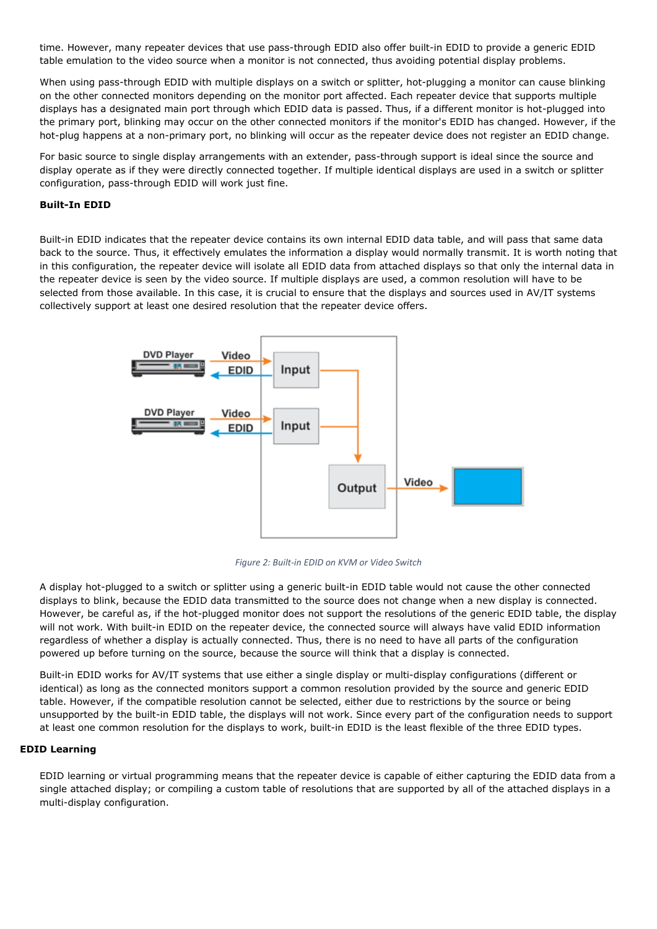time. However, many repeater devices that use pass-through EDID also offer built-in EDID to provide a generic EDID table emulation to the video source when a monitor is not connected, thus avoiding potential display problems.

When using pass-through EDID with multiple displays on a switch or splitter, hot-plugging a monitor can cause blinking on the other connected monitors depending on the monitor port affected. Each repeater device that supports multiple displays has a designated main port through which EDID data is passed. Thus, if a different monitor is hot-plugged into the primary port, blinking may occur on the other connected monitors if the monitor's EDID has changed. However, if the hot-plug happens at a non-primary port, no blinking will occur as the repeater device does not register an EDID change.

For basic source to single display arrangements with an extender, pass-through support is ideal since the source and display operate as if they were directly connected together. If multiple identical displays are used in a switch or splitter configuration, pass-through EDID will work just fine.

## **Built-In EDID**

Built-in EDID indicates that the repeater device contains its own internal EDID data table, and will pass that same data back to the source. Thus, it effectively emulates the information a display would normally transmit. It is worth noting that in this configuration, the repeater device will isolate all EDID data from attached displays so that only the internal data in the repeater device is seen by the video source. If multiple displays are used, a common resolution will have to be selected from those available. In this case, it is crucial to ensure that the displays and sources used in AV/IT systems collectively support at least one desired resolution that the repeater device offers.



*Figure 2: Built-in EDID on KVM or Video Switch*

A display hot-plugged to a switch or splitter using a generic built-in EDID table would not cause the other connected displays to blink, because the EDID data transmitted to the source does not change when a new display is connected. However, be careful as, if the hot-plugged monitor does not support the resolutions of the generic EDID table, the display will not work. With built-in EDID on the repeater device, the connected source will always have valid EDID information regardless of whether a display is actually connected. Thus, there is no need to have all parts of the configuration powered up before turning on the source, because the source will think that a display is connected.

Built-in EDID works for AV/IT systems that use either a single display or multi-display configurations (different or identical) as long as the connected monitors support a common resolution provided by the source and generic EDID table. However, if the compatible resolution cannot be selected, either due to restrictions by the source or being unsupported by the built-in EDID table, the displays will not work. Since every part of the configuration needs to support at least one common resolution for the displays to work, built-in EDID is the least flexible of the three EDID types.

## **EDID Learning**

EDID learning or virtual programming means that the repeater device is capable of either capturing the EDID data from a single attached display; or compiling a custom table of resolutions that are supported by all of the attached displays in a multi-display configuration.